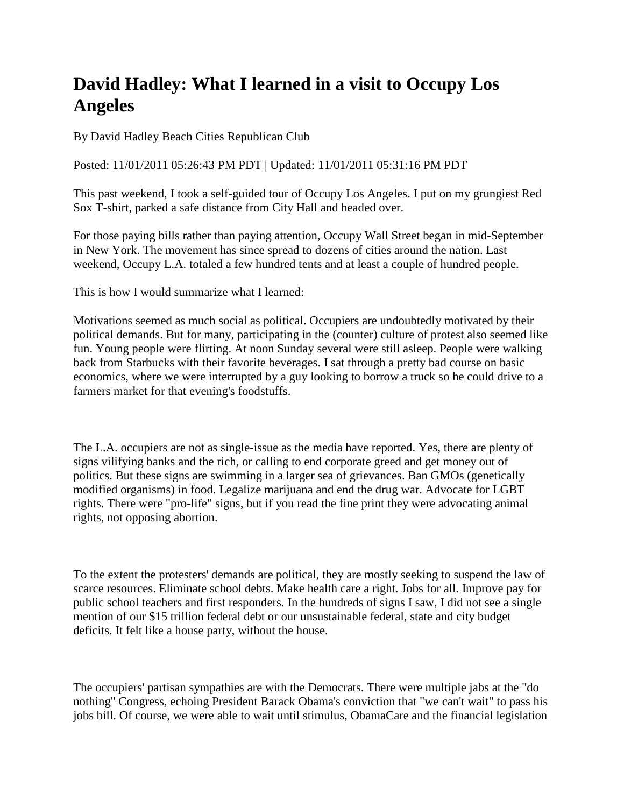## **David Hadley: What I learned in a visit to Occupy Los Angeles**

By David Hadley Beach Cities Republican Club

Posted: 11/01/2011 05:26:43 PM PDT | Updated: 11/01/2011 05:31:16 PM PDT

This past weekend, I took a self-guided tour of Occupy Los Angeles. I put on my grungiest Red Sox T-shirt, parked a safe distance from City Hall and headed over.

For those paying bills rather than paying attention, Occupy Wall Street began in mid-September in New York. The movement has since spread to dozens of cities around the nation. Last weekend, Occupy L.A. totaled a few hundred tents and at least a couple of hundred people.

This is how I would summarize what I learned:

Motivations seemed as much social as political. Occupiers are undoubtedly motivated by their political demands. But for many, participating in the (counter) culture of protest also seemed like fun. Young people were flirting. At noon Sunday several were still asleep. People were walking back from Starbucks with their favorite beverages. I sat through a pretty bad course on basic economics, where we were interrupted by a guy looking to borrow a truck so he could drive to a farmers market for that evening's foodstuffs.

The L.A. occupiers are not as single-issue as the media have reported. Yes, there are plenty of signs vilifying banks and the rich, or calling to end corporate greed and get money out of politics. But these signs are swimming in a larger sea of grievances. Ban GMOs (genetically modified organisms) in food. Legalize marijuana and end the drug war. Advocate for LGBT rights. There were "pro-life" signs, but if you read the fine print they were advocating animal rights, not opposing abortion.

To the extent the protesters' demands are political, they are mostly seeking to suspend the law of scarce resources. Eliminate school debts. Make health care a right. Jobs for all. Improve pay for public school teachers and first responders. In the hundreds of signs I saw, I did not see a single mention of our \$15 trillion federal debt or our unsustainable federal, state and city budget deficits. It felt like a house party, without the house.

The occupiers' partisan sympathies are with the Democrats. There were multiple jabs at the "do nothing" Congress, echoing President Barack Obama's conviction that "we can't wait" to pass his jobs bill. Of course, we were able to wait until stimulus, ObamaCare and the financial legislation